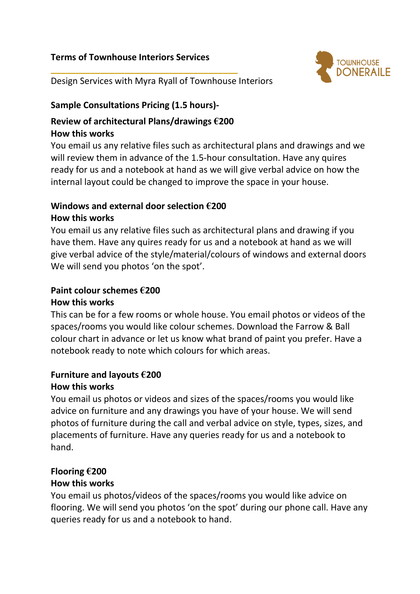## **Terms of Townhouse Interiors Services**



Design Services with Myra Ryall of Townhouse Interiors

#### **Sample Consultations Pricing (1.5 hours)-**

#### **Review of architectural Plans/drawings €200 How this works**

**\_\_\_\_\_\_\_\_\_\_\_\_\_\_\_\_\_\_\_\_\_\_\_\_\_\_\_\_\_\_\_\_\_\_\_\_\_\_**

You email us any relative files such as architectural plans and drawings and we will review them in advance of the 1.5-hour consultation. Have any quires ready for us and a notebook at hand as we will give verbal advice on how the internal layout could be changed to improve the space in your house.

## **Windows and external door selection €200**

#### **How this works**

You email us any relative files such as architectural plans and drawing if you have them. Have any quires ready for us and a notebook at hand as we will give verbal advice of the style/material/colours of windows and external doors We will send you photos 'on the spot'.

### **Paint colour schemes €200**

#### **How this works**

This can be for a few rooms or whole house. You email photos or videos of the spaces/rooms you would like colour schemes. Download the Farrow & Ball colour chart in advance or let us know what brand of paint you prefer. Have a notebook ready to note which colours for which areas.

## **Furniture and layouts €200**

#### **How this works**

You email us photos or videos and sizes of the spaces/rooms you would like advice on furniture and any drawings you have of your house. We will send photos of furniture during the call and verbal advice on style, types, sizes, and placements of furniture. Have any queries ready for us and a notebook to hand.

#### **Flooring €200**

#### **How this works**

You email us photos/videos of the spaces/rooms you would like advice on flooring. We will send you photos 'on the spot' during our phone call. Have any queries ready for us and a notebook to hand.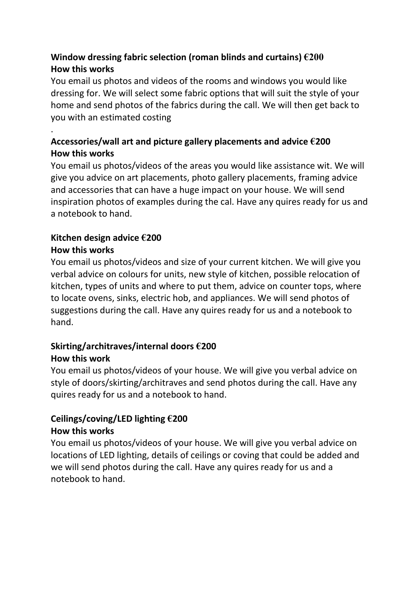## **Window dressing fabric selection (roman blinds and curtains) €200 How this works**

You email us photos and videos of the rooms and windows you would like dressing for. We will select some fabric options that will suit the style of your home and send photos of the fabrics during the call. We will then get back to you with an estimated costing

## . **Accessories/wall art and picture gallery placements and advice €200 How this works**

You email us photos/videos of the areas you would like assistance wit. We will give you advice on art placements, photo gallery placements, framing advice and accessories that can have a huge impact on your house. We will send inspiration photos of examples during the cal. Have any quires ready for us and a notebook to hand.

# **Kitchen design advice €200**

## **How this works**

You email us photos/videos and size of your current kitchen. We will give you verbal advice on colours for units, new style of kitchen, possible relocation of kitchen, types of units and where to put them, advice on counter tops, where to locate ovens, sinks, electric hob, and appliances. We will send photos of suggestions during the call. Have any quires ready for us and a notebook to hand.

## **Skirting/architraves/internal doors €200 How this work**

You email us photos/videos of your house. We will give you verbal advice on style of doors/skirting/architraves and send photos during the call. Have any quires ready for us and a notebook to hand.

## **Ceilings/coving/LED lighting €200**

### **How this works**

You email us photos/videos of your house. We will give you verbal advice on locations of LED lighting, details of ceilings or coving that could be added and we will send photos during the call. Have any quires ready for us and a notebook to hand.